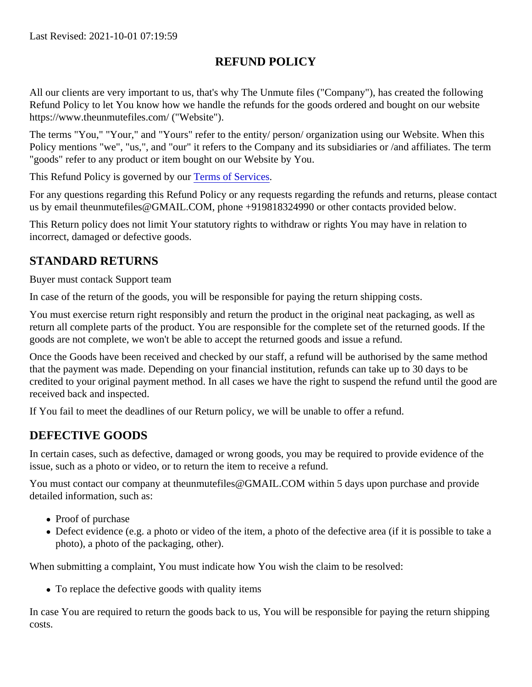## REFUND POLICY

All our clients are very important to us, that's why The Unmute files ("Company"), has created the following Refund Policy to let You know how we handle the refunds for the goods ordered and bought on our website https://www.theunmutefiles.com/ ("Website").

The terms "You," "Your," and "Yours" refer to the entity/ person/ organization using our Website. When this Policy mentions "we", "us,", and "our" it refers to the Company and its subsidiaries or /and affiliates. The term "goods" refer to any product or item bought on our Website by You.

This Refund Policy is governed by olerms of Services

For any questions regarding this Refund Policy or any requests regarding the refunds and returns, please cortact us by email theunmutefiles@GMAIL.COM, phone +919818324990 or other contacts provided below.

This Return policy does not limit Your statutory rights to withdraw or rights You may have in relation to incorrect, damaged or defective goods.

## STANDARD RETURNS

Buyer must contack Support team

In case of the return of the goods, you will be responsible for paying the return shipping costs.

You must exercise return right responsibly and return the product in the original neat packaging, as well as return all complete parts of the product. You are responsible for the complete set of the returned goods. If the goods are not complete, we won't be able to accept the returned goods and issue a refund.

Once the Goods have been received and checked by our staff, a refund will be authorised by the same method that the payment was made. Depending on your financial institution, refunds can take up to 30 days to be credited to your original payment method. In all cases we have the right to suspend the refund until the good received back and inspected.

If You fail to meet the deadlines of our Return policy, we will be unable to offer a refund.

## DEFECTIVE GOODS

In certain cases, such as defective, damaged or wrong goods, you may be required to provide evidence of the issue, such as a photo or video, or to return the item to receive a refund.

You must contact our company at theunmutefiles@GMAIL.COM within 5 days upon purchase and provide detailed information, such as:

- Proof of purchase
- Defect evidence (e.g. a photo or video of the item, a photo of the defective area (if it is possible to take a photo), a photo of the packaging, other).

When submitting a complaint, You must indicate how You wish the claim to be resolved:

To replace the defective goods with quality items

In case You are required to return the goods back to us, You will be responsible for paying the return shipping costs.